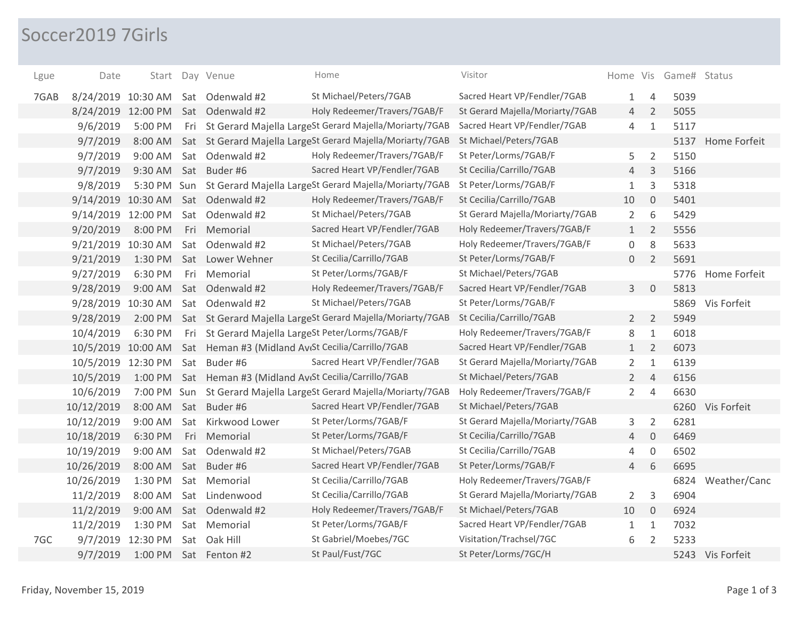## Soccer2019 7Girls

| Lgue | Date               |                   |     | Start Day Venue                                                      | Home                                                               | Visitor                         |                |                     | Home Vis Game# Status |                  |
|------|--------------------|-------------------|-----|----------------------------------------------------------------------|--------------------------------------------------------------------|---------------------------------|----------------|---------------------|-----------------------|------------------|
| 7GAB | 8/24/2019 10:30 AM |                   |     | Sat Odenwald #2                                                      | St Michael/Peters/7GAB                                             | Sacred Heart VP/Fendler/7GAB    | 1              | 4                   | 5039                  |                  |
|      | 8/24/2019 12:00 PM |                   |     | Sat Odenwald #2                                                      | Holy Redeemer/Travers/7GAB/F                                       | St Gerard Majella/Moriarty/7GAB | $\overline{4}$ | $\overline{2}$      | 5055                  |                  |
|      | 9/6/2019           | 5:00 PM           |     |                                                                      | Fri St Gerard Majella LargeSt Gerard Majella/Moriarty/7GAB         | Sacred Heart VP/Fendler/7GAB    | 4              | $1\,$               | 5117                  |                  |
|      | 9/7/2019           | 8:00 AM           |     |                                                                      | Sat St Gerard Majella LargeSt Gerard Majella/Moriarty/7GAB         | St Michael/Peters/7GAB          |                |                     | 5137                  | Home Forfeit     |
|      | 9/7/2019           | 9:00 AM           |     | Sat Odenwald #2                                                      | Holy Redeemer/Travers/7GAB/F                                       | St Peter/Lorms/7GAB/F           | 5              | $\overline{2}$      | 5150                  |                  |
|      | 9/7/2019           | 9:30 AM           |     | Sat Buder#6                                                          | Sacred Heart VP/Fendler/7GAB                                       | St Cecilia/Carrillo/7GAB        | $\overline{4}$ | 3                   | 5166                  |                  |
|      | 9/8/2019           |                   |     |                                                                      | 5:30 PM Sun St Gerard Majella LargeSt Gerard Majella/Moriarty/7GAB | St Peter/Lorms/7GAB/F           | $\mathbf{1}$   | 3                   | 5318                  |                  |
|      | 9/14/2019 10:30 AM |                   |     | Sat Odenwald #2                                                      | Holy Redeemer/Travers/7GAB/F                                       | St Cecilia/Carrillo/7GAB        | 10             | $\mathbf 0$         | 5401                  |                  |
|      | 9/14/2019 12:00 PM |                   |     | Sat Odenwald #2                                                      | St Michael/Peters/7GAB                                             | St Gerard Majella/Moriarty/7GAB | 2              | 6                   | 5429                  |                  |
|      | 9/20/2019          | 8:00 PM           |     | Fri Memorial                                                         | Sacred Heart VP/Fendler/7GAB                                       | Holy Redeemer/Travers/7GAB/F    | 1              | $\overline{2}$      | 5556                  |                  |
|      | 9/21/2019 10:30 AM |                   | Sat | Odenwald #2                                                          | St Michael/Peters/7GAB                                             | Holy Redeemer/Travers/7GAB/F    | 0              | 8                   | 5633                  |                  |
|      | 9/21/2019          | 1:30 PM           |     | Sat Lower Wehner                                                     | St Cecilia/Carrillo/7GAB                                           | St Peter/Lorms/7GAB/F           | $\mathbf{0}$   | $\overline{2}$      | 5691                  |                  |
|      | 9/27/2019          | 6:30 PM           |     | Fri Memorial                                                         | St Peter/Lorms/7GAB/F                                              | St Michael/Peters/7GAB          |                |                     | 5776                  | Home Forfeit     |
|      | 9/28/2019          | 9:00 AM           |     | Sat Odenwald #2                                                      | Holy Redeemer/Travers/7GAB/F                                       | Sacred Heart VP/Fendler/7GAB    | 3 <sup>7</sup> | $\overline{0}$      | 5813                  |                  |
|      | 9/28/2019 10:30 AM |                   |     | Sat Odenwald #2                                                      | St Michael/Peters/7GAB                                             | St Peter/Lorms/7GAB/F           |                |                     |                       | 5869 Vis Forfeit |
|      | 9/28/2019          |                   |     |                                                                      | 2:00 PM Sat St Gerard Majella LargeSt Gerard Majella/Moriarty/7GAB | St Cecilia/Carrillo/7GAB        | $2^{\circ}$    | $\overline{2}$      | 5949                  |                  |
|      | 10/4/2019          | 6:30 PM           |     | Fri St Gerard Majella LargeSt Peter/Lorms/7GAB/F                     |                                                                    | Holy Redeemer/Travers/7GAB/F    | 8              | $\mathbf{1}$        | 6018                  |                  |
|      |                    |                   |     | 10/5/2019 10:00 AM Sat Heman #3 (Midland AveSt Cecilia/Carrillo/7GAB |                                                                    | Sacred Heart VP/Fendler/7GAB    | 1              | $\overline{2}$      | 6073                  |                  |
|      | 10/5/2019 12:30 PM |                   |     | Sat Buder#6                                                          | Sacred Heart VP/Fendler/7GAB                                       | St Gerard Majella/Moriarty/7GAB | $\overline{2}$ | $1\,$               | 6139                  |                  |
|      | 10/5/2019          |                   |     | 1:00 PM Sat Heman #3 (Midland AvtSt Cecilia/Carrillo/7GAB            |                                                                    | St Michael/Peters/7GAB          | $2^{\circ}$    | $\overline{4}$      | 6156                  |                  |
|      | 10/6/2019          |                   |     |                                                                      | 7:00 PM Sun St Gerard Majella LargeSt Gerard Majella/Moriarty/7GAB | Holy Redeemer/Travers/7GAB/F    | $\overline{2}$ | $\overline{4}$      | 6630                  |                  |
|      | 10/12/2019         | 8:00 AM           |     | Sat Buder#6                                                          | Sacred Heart VP/Fendler/7GAB                                       | St Michael/Peters/7GAB          |                |                     |                       | 6260 Vis Forfeit |
|      | 10/12/2019         | 9:00 AM           |     | Sat Kirkwood Lower                                                   | St Peter/Lorms/7GAB/F                                              | St Gerard Majella/Moriarty/7GAB | 3              | $\overline{2}$      | 6281                  |                  |
|      | 10/18/2019         | 6:30 PM           |     | Fri Memorial                                                         | St Peter/Lorms/7GAB/F                                              | St Cecilia/Carrillo/7GAB        | $\overline{4}$ | $\mathsf{O}\xspace$ | 6469                  |                  |
|      | 10/19/2019         | 9:00 AM           |     | Sat Odenwald #2                                                      | St Michael/Peters/7GAB                                             | St Cecilia/Carrillo/7GAB        | 4              | $\mathbf 0$         | 6502                  |                  |
|      | 10/26/2019         | 8:00 AM           |     | Sat Buder#6                                                          | Sacred Heart VP/Fendler/7GAB                                       | St Peter/Lorms/7GAB/F           | 4              | 6                   | 6695                  |                  |
|      | 10/26/2019         | 1:30 PM           |     | Sat Memorial                                                         | St Cecilia/Carrillo/7GAB                                           | Holy Redeemer/Travers/7GAB/F    |                |                     | 6824                  | Weather/Canc     |
|      | 11/2/2019          | 8:00 AM           |     | Sat Lindenwood                                                       | St Cecilia/Carrillo/7GAB                                           | St Gerard Majella/Moriarty/7GAB | 2              | 3                   | 6904                  |                  |
|      | 11/2/2019          | 9:00 AM           |     | Sat Odenwald #2                                                      | Holy Redeemer/Travers/7GAB/F                                       | St Michael/Peters/7GAB          | 10             | $\overline{0}$      | 6924                  |                  |
|      | 11/2/2019          | 1:30 PM           |     | Sat Memorial                                                         | St Peter/Lorms/7GAB/F                                              | Sacred Heart VP/Fendler/7GAB    | 1              | $\mathbf{1}$        | 7032                  |                  |
| 7GC  |                    | 9/7/2019 12:30 PM |     | Sat Oak Hill                                                         | St Gabriel/Moebes/7GC                                              | Visitation/Trachsel/7GC         | 6              | $\overline{2}$      | 5233                  |                  |
|      | 9/7/2019           | 1:00 PM           |     | Sat Fenton #2                                                        | St Paul/Fust/7GC                                                   | St Peter/Lorms/7GC/H            |                |                     |                       | 5243 Vis Forfeit |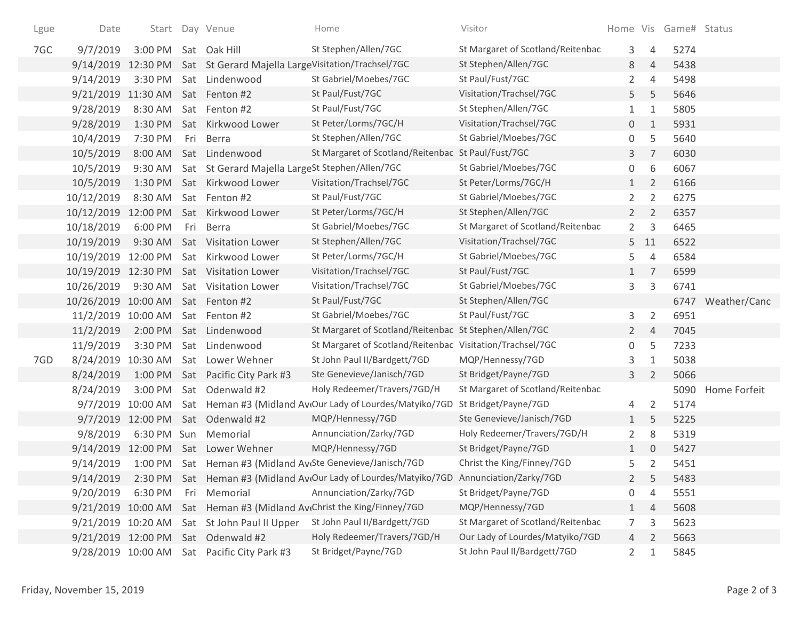| Lgue | Date                              |                   |     | Start Day Venue                                             | Home                                                       | Visitor                           |                |                | Home Vis Game# Status |              |
|------|-----------------------------------|-------------------|-----|-------------------------------------------------------------|------------------------------------------------------------|-----------------------------------|----------------|----------------|-----------------------|--------------|
| 7GC  | 9/7/2019                          | 3:00 PM           |     | Sat Oak Hill                                                | St Stephen/Allen/7GC                                       | St Margaret of Scotland/Reitenbac | 3              | $\overline{4}$ | 5274                  |              |
|      | 9/14/2019                         |                   |     | 12:30 PM Sat St Gerard Majella LargeVisitation/Trachsel/7GC |                                                            | St Stephen/Allen/7GC              | 8              | $\overline{4}$ | 5438                  |              |
|      | 9/14/2019                         | 3:30 PM           |     | Sat Lindenwood                                              | St Gabriel/Moebes/7GC                                      | St Paul/Fust/7GC                  | $\overline{2}$ | $\overline{4}$ | 5498                  |              |
|      | 9/21/2019 11:30 AM                |                   |     | Sat Fenton #2                                               | St Paul/Fust/7GC                                           | Visitation/Trachsel/7GC           | 5              | 5              | 5646                  |              |
|      | 9/28/2019                         | 8:30 AM           |     | Sat Fenton #2                                               | St Paul/Fust/7GC                                           | St Stephen/Allen/7GC              | $\mathbf{1}$   | $1\,$          | 5805                  |              |
|      | 9/28/2019                         |                   |     | 1:30 PM Sat Kirkwood Lower                                  | St Peter/Lorms/7GC/H                                       | Visitation/Trachsel/7GC           | 0              | $\mathbf{1}$   | 5931                  |              |
|      | 10/4/2019                         | 7:30 PM           | Fri | Berra                                                       | St Stephen/Allen/7GC                                       | St Gabriel/Moebes/7GC             | 0              | 5              | 5640                  |              |
|      | 10/5/2019                         | 8:00 AM           |     | Sat Lindenwood                                              | St Margaret of Scotland/Reitenbac St Paul/Fust/7GC         |                                   | 3              | $\overline{7}$ | 6030                  |              |
|      | 10/5/2019                         | 9:30 AM           |     | Sat St Gerard Majella LargeSt Stephen/Allen/7GC             |                                                            | St Gabriel/Moebes/7GC             | 0              | 6              | 6067                  |              |
|      | 10/5/2019                         | 1:30 PM           |     | Sat Kirkwood Lower                                          | Visitation/Trachsel/7GC                                    | St Peter/Lorms/7GC/H              | $\mathbf{1}$   | $\overline{2}$ | 6166                  |              |
|      | 10/12/2019                        | 8:30 AM           |     | Sat Fenton #2                                               | St Paul/Fust/7GC                                           | St Gabriel/Moebes/7GC             | $\overline{2}$ | $\overline{2}$ | 6275                  |              |
|      | 10/12/2019 12:00 PM               |                   |     | Sat Kirkwood Lower                                          | St Peter/Lorms/7GC/H                                       | St Stephen/Allen/7GC              | $2^{\circ}$    | $\overline{2}$ | 6357                  |              |
|      | 10/18/2019                        | 6:00 PM           | Fri | Berra                                                       | St Gabriel/Moebes/7GC                                      | St Margaret of Scotland/Reitenbac | $\overline{2}$ | 3              | 6465                  |              |
|      | 10/19/2019                        | 9:30 AM           |     | Sat Visitation Lower                                        | St Stephen/Allen/7GC                                       | Visitation/Trachsel/7GC           |                | $5$ 11         | 6522                  |              |
|      |                                   |                   |     | 10/19/2019 12:00 PM Sat Kirkwood Lower                      | St Peter/Lorms/7GC/H                                       | St Gabriel/Moebes/7GC             | 5              | $\overline{4}$ | 6584                  |              |
|      |                                   |                   |     | 10/19/2019 12:30 PM Sat Visitation Lower                    | Visitation/Trachsel/7GC                                    | St Paul/Fust/7GC                  | 1              | 7              | 6599                  |              |
|      | 10/26/2019                        | 9:30 AM           |     | Sat Visitation Lower                                        | Visitation/Trachsel/7GC                                    | St Gabriel/Moebes/7GC             | 3              | $\mathsf{3}$   | 6741                  |              |
|      | 10/26/2019 10:00 AM Sat Fenton #2 |                   |     |                                                             | St Paul/Fust/7GC                                           | St Stephen/Allen/7GC              |                |                | 6747                  | Weather/Canc |
|      | 11/2/2019 10:00 AM                |                   |     | Sat Fenton #2                                               | St Gabriel/Moebes/7GC                                      | St Paul/Fust/7GC                  | 3              | $\overline{2}$ | 6951                  |              |
|      | 11/2/2019                         | 2:00 PM           |     | Sat Lindenwood                                              | St Margaret of Scotland/Reitenbac St Stephen/Allen/7GC     |                                   | $2^{\circ}$    | 4              | 7045                  |              |
|      | 11/9/2019                         | 3:30 PM           |     | Sat Lindenwood                                              | St Margaret of Scotland/Reitenbac Visitation/Trachsel/7GC  |                                   | 0              | 5              | 7233                  |              |
| 7GD  | 8/24/2019 10:30 AM                |                   |     | Sat Lower Wehner                                            | St John Paul II/Bardgett/7GD                               | MQP/Hennessy/7GD                  | 3              | $\mathbf{1}$   | 5038                  |              |
|      | 8/24/2019                         |                   |     | 1:00 PM Sat Pacific City Park #3                            | Ste Genevieve/Janisch/7GD                                  | St Bridget/Payne/7GD              | 3              | $\overline{2}$ | 5066                  |              |
|      | 8/24/2019                         | 3:00 PM           |     | Sat Odenwald #2                                             | Holy Redeemer/Travers/7GD/H                                | St Margaret of Scotland/Reitenbac |                |                | 5090                  | Home Forfeit |
|      |                                   | 9/7/2019 10:00 AM |     |                                                             | Sat Heman #3 (Midland Av(Our Lady of Lourdes/Matyiko/7GD   | St Bridget/Payne/7GD              | 4              | $\overline{2}$ | 5174                  |              |
|      |                                   | 9/7/2019 12:00 PM |     | Sat Odenwald #2                                             | MQP/Hennessy/7GD                                           | Ste Genevieve/Janisch/7GD         | $\mathbf{1}$   | 5              | 5225                  |              |
|      | 9/8/2019                          | 6:30 PM Sun       |     | Memorial                                                    | Annunciation/Zarky/7GD                                     | Holy Redeemer/Travers/7GD/H       | $\overline{2}$ | 8              | 5319                  |              |
|      |                                   |                   |     | 9/14/2019 12:00 PM Sat Lower Wehner                         | MQP/Hennessy/7GD                                           | St Bridget/Payne/7GD              | $\mathbf{1}$   | $\mathbf 0$    | 5427                  |              |
|      | 9/14/2019                         |                   |     |                                                             | 1:00 PM Sat Heman #3 (Midland AvtSte Genevieve/Janisch/7GD | Christ the King/Finney/7GD        | 5              | $\overline{2}$ | 5451                  |              |
|      | 9/14/2019                         | 2:30 PM           |     |                                                             | Sat Heman #3 (Midland AvtOur Lady of Lourdes/Matyiko/7GD   | Annunciation/Zarky/7GD            |                | 5              | 5483                  |              |
|      | 9/20/2019                         | 6:30 PM           | Fri | Memorial                                                    | Annunciation/Zarky/7GD                                     | St Bridget/Payne/7GD              | 0              | 4              | 5551                  |              |
|      | 9/21/2019 10:00 AM                |                   |     |                                                             | Sat Heman #3 (Midland Av Christ the King/Finney/7GD        | MQP/Hennessy/7GD                  | $\mathbf{1}$   | $\overline{4}$ | 5608                  |              |
|      | 9/21/2019 10:20 AM                |                   |     | Sat St John Paul II Upper                                   | St John Paul II/Bardgett/7GD                               | St Margaret of Scotland/Reitenbac | 7              | 3              | 5623                  |              |
|      |                                   |                   |     | 9/21/2019 12:00 PM Sat Odenwald #2                          | Holy Redeemer/Travers/7GD/H                                | Our Lady of Lourdes/Matyiko/7GD   | 4              | 2              | 5663                  |              |
|      | 9/28/2019 10:00 AM                |                   |     | Sat Pacific City Park #3                                    | St Bridget/Payne/7GD                                       | St John Paul II/Bardgett/7GD      | $\overline{2}$ | 1              | 5845                  |              |